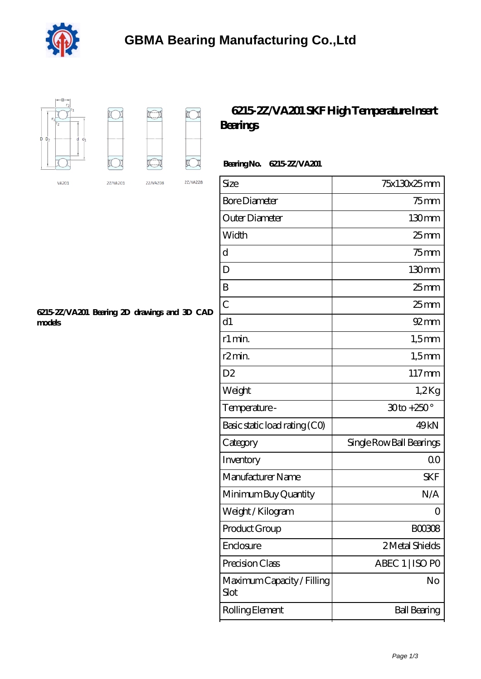



## **[6215-2Z/VA201 SKF High Temperature Insert](https://dogwooddreams.com/high-temperature-insert-bearings/6215-2z-va201.html) [Bearings](https://dogwooddreams.com/high-temperature-insert-bearings/6215-2z-va201.html)**

## **Bearing No. 6215-2Z/VA201**

| Size                               | 75x130x25mm              |
|------------------------------------|--------------------------|
| <b>Bore Diameter</b>               | $75$ mm                  |
| Outer Diameter                     | 130mm                    |
| Width                              | $25$ mm                  |
| d                                  | $75$ mm                  |
| D                                  | 130mm                    |
| B                                  | $25$ mm                  |
| $\overline{C}$                     | $25 \text{mm}$           |
| d1                                 | $92$ mm                  |
| r1 min.                            | $1,5$ mm                 |
| r <sub>2</sub> min.                | $1,5$ mm                 |
| D <sub>2</sub>                     | $117 \text{mm}$          |
| Weight                             | $1,2$ Kg                 |
| Temperature -                      | $30$ to + $250^\circ$    |
| Basic static load rating (CO)      | 49kN                     |
| Category                           | Single Row Ball Bearings |
| Inventory                          | 0 <sup>0</sup>           |
| Manufacturer Name                  | <b>SKF</b>               |
| Minimum Buy Quantity               | N/A                      |
| Weight/Kilogram                    | $\Omega$                 |
| Product Group                      | BOO3O8                   |
| Enclosure                          | 2 Metal Shields          |
| Precision Class                    | ABEC 1   ISO PO          |
| Maximum Capacity / Filling<br>Slot | No                       |
| Rolling Element                    | <b>Ball Bearing</b>      |

**[6215-2Z/VA201 Bearing 2D drawings and 3D CAD](https://dogwooddreams.com/pic-636172.html) [models](https://dogwooddreams.com/pic-636172.html)**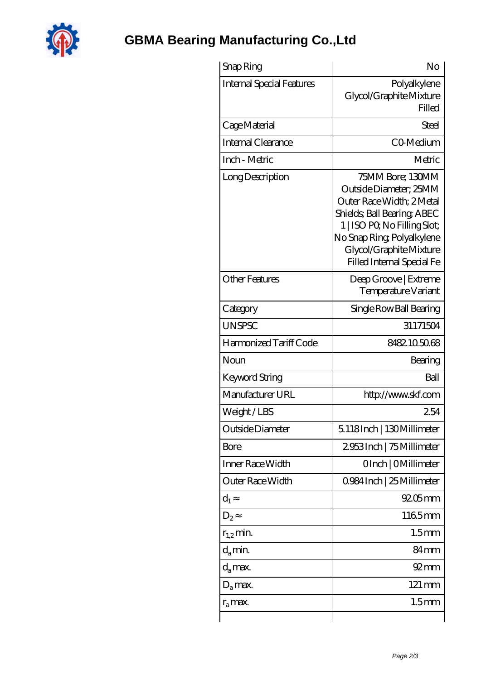

## **[GBMA Bearing Manufacturing Co.,Ltd](https://dogwooddreams.com)**

| Snap Ring                        | No                                                                                                                                                                                                                           |
|----------------------------------|------------------------------------------------------------------------------------------------------------------------------------------------------------------------------------------------------------------------------|
| <b>Internal Special Features</b> | Polyalkylene<br>Glycol/Graphite Mixture<br>Filled                                                                                                                                                                            |
| Cage Material                    | Steel                                                                                                                                                                                                                        |
| Internal Clearance               | CO-Medium                                                                                                                                                                                                                    |
| Inch - Metric                    | Metric                                                                                                                                                                                                                       |
| Long Description                 | 75MM Bore; 130MM<br>Outside Diameter; 25MM<br>Outer Race Width; 2Metal<br>Shields, Ball Bearing, ABEC<br>1   ISO PO, No Filling Slot;<br>No Snap Ring, Polyalkylene<br>Glycol/Graphite Mixture<br>Filled Internal Special Fe |
| <b>Other Features</b>            | Deep Groove   Extreme<br>Temperature Variant                                                                                                                                                                                 |
| Category                         | Single Row Ball Bearing                                                                                                                                                                                                      |
| <b>UNSPSC</b>                    | 31171504                                                                                                                                                                                                                     |
| Harmonized Tariff Code           | 8482105068                                                                                                                                                                                                                   |
| Noun                             | Bearing                                                                                                                                                                                                                      |
| <b>Keyword String</b>            | Ball                                                                                                                                                                                                                         |
| Manufacturer URL                 | http://www.skf.com                                                                                                                                                                                                           |
| Weight/LBS                       | 254                                                                                                                                                                                                                          |
| Outside Diameter                 | 5118Inch   130Millimeter                                                                                                                                                                                                     |
| Bore                             | 2953Inch   75Millimeter                                                                                                                                                                                                      |
| Inner Race Width                 | OInch   OMillimeter                                                                                                                                                                                                          |
| Outer Race Width                 | 0.984 Inch   25 Millimeter                                                                                                                                                                                                   |
| $d_1$                            | $9205$ mm                                                                                                                                                                                                                    |
| D <sub>2</sub>                   | 1165mm                                                                                                                                                                                                                       |
| $r_{1,2}$ min.                   | 1.5 <sub>mm</sub>                                                                                                                                                                                                            |
| $d_a$ min.                       | 84 <sub>mm</sub>                                                                                                                                                                                                             |
| $d_a$ max.                       | $92 \text{mm}$                                                                                                                                                                                                               |
| $D_a$ max.                       | 121 mm                                                                                                                                                                                                                       |
| $r_a$ max.                       | 1.5 <sub>mm</sub>                                                                                                                                                                                                            |
|                                  |                                                                                                                                                                                                                              |